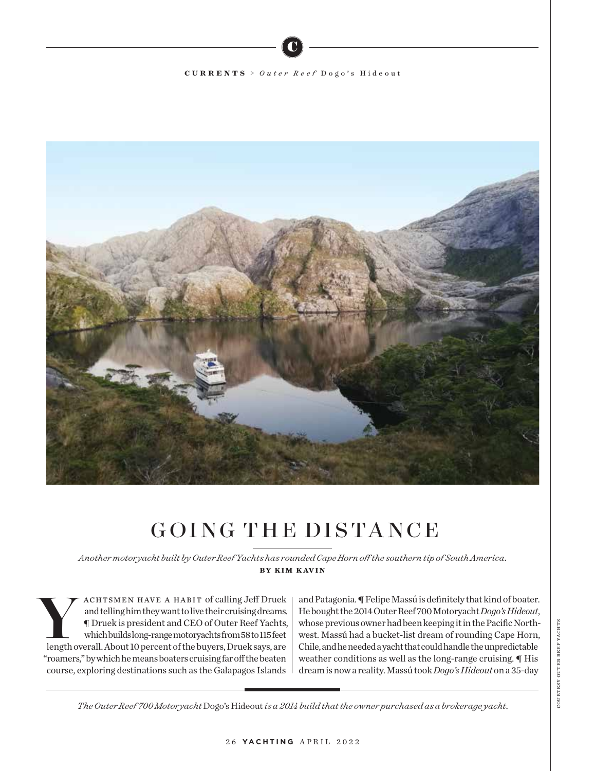## **CURRENTS** > *Outer Reef* Dogo's Hideout

C



## GOING THE DISTANCE

*Another motoryacht built by Outer Reef Yachts has rounded Cape Horn off the southern tip of South America.* by kim kavin

ACHTSMEN HAVE A HABIT of calling Jeff Druek<br>
and telling him they want to live their cruising dreams.<br>
The Druek is president and CEO of Outer Reef Yachts,<br>
which builds long-range motoryachts from 58 to 115 feet<br>
length o and telling him they want to live their cruising dreams. ¶ Druek is president and CEO of Outer Reef Yachts, which builds long-range motoryachts from 58 to 115 feet "roamers," by which he means boaters cruising far off the beaten course, exploring destinations such as the Galapagos Islands

and Patagonia. ¶ Felipe Massú is definitely that kind of boater. He bought the 2014 Outer Reef 700 Motoryacht *Dogo's Hideout*, whose previous owner had been keeping it in the Pacific Northwest. Massú had a bucket-list dream of rounding Cape Horn, Chile, and he needed a yacht that could handle the unpredictable weather conditions as well as the long-range cruising. ¶ His dream is now a reality. Massú took *Dogo's Hideout* on a 35-day

COURTESY OUTER REEF YACHTS courtesy outer reef yachts

*The Outer Reef 700 Motoryacht* Dogo's Hideout *is a 2014 build that the owner purchased as a brokerage yacht.*